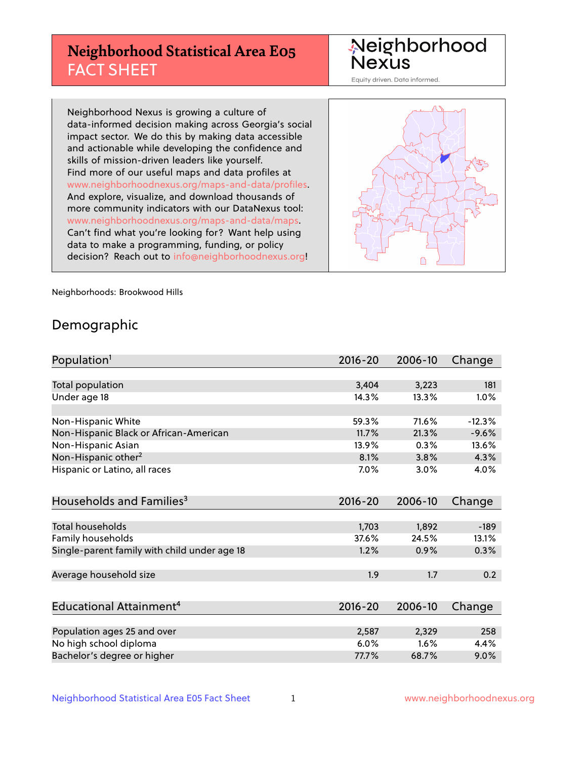## **Neighborhood Statistical Area E05** FACT SHEET

Neighborhood Nexus

Equity driven. Data informed.

Neighborhood Nexus is growing a culture of data-informed decision making across Georgia's social impact sector. We do this by making data accessible and actionable while developing the confidence and skills of mission-driven leaders like yourself. Find more of our useful maps and data profiles at www.neighborhoodnexus.org/maps-and-data/profiles. And explore, visualize, and download thousands of more community indicators with our DataNexus tool: www.neighborhoodnexus.org/maps-and-data/maps. Can't find what you're looking for? Want help using data to make a programming, funding, or policy decision? Reach out to [info@neighborhoodnexus.org!](mailto:info@neighborhoodnexus.org)



Neighborhoods: Brookwood Hills

### Demographic

| Population <sup>1</sup>                      | $2016 - 20$ | 2006-10 | Change   |
|----------------------------------------------|-------------|---------|----------|
|                                              |             |         |          |
| Total population                             | 3,404       | 3,223   | 181      |
| Under age 18                                 | 14.3%       | 13.3%   | 1.0%     |
|                                              |             |         |          |
| Non-Hispanic White                           | 59.3%       | 71.6%   | $-12.3%$ |
| Non-Hispanic Black or African-American       | 11.7%       | 21.3%   | $-9.6%$  |
| Non-Hispanic Asian                           | 13.9%       | 0.3%    | 13.6%    |
| Non-Hispanic other <sup>2</sup>              | 8.1%        | 3.8%    | 4.3%     |
| Hispanic or Latino, all races                | $7.0\%$     | 3.0%    | 4.0%     |
|                                              |             |         |          |
| Households and Families <sup>3</sup>         | $2016 - 20$ | 2006-10 | Change   |
|                                              |             |         |          |
| <b>Total households</b>                      | 1,703       | 1,892   | $-189$   |
| Family households                            | 37.6%       | 24.5%   | 13.1%    |
| Single-parent family with child under age 18 | 1.2%        | 0.9%    | 0.3%     |
|                                              |             |         |          |
| Average household size                       | 1.9         | 1.7     | 0.2      |
|                                              |             |         |          |
| Educational Attainment <sup>4</sup>          | $2016 - 20$ | 2006-10 | Change   |
|                                              |             |         |          |
| Population ages 25 and over                  | 2,587       | 2,329   | 258      |
| No high school diploma                       | 6.0%        | 1.6%    | 4.4%     |
| Bachelor's degree or higher                  | 77.7%       | 68.7%   | 9.0%     |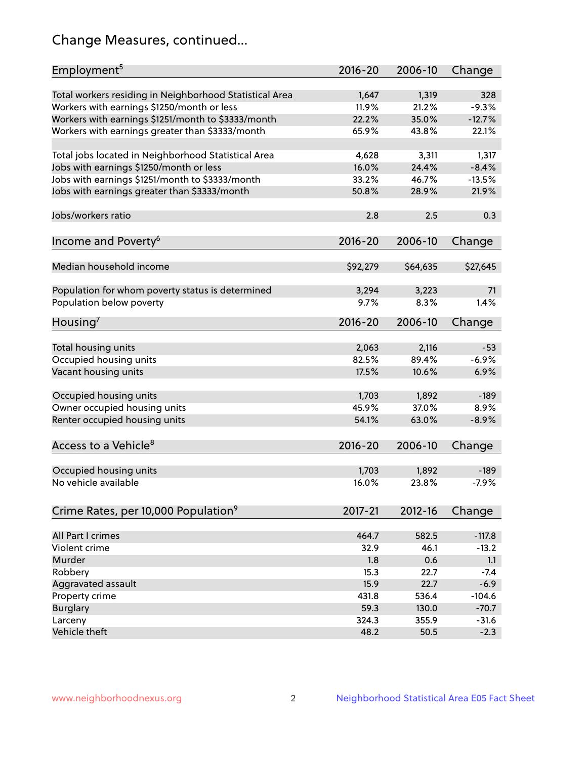## Change Measures, continued...

| Employment <sup>5</sup>                                 | $2016 - 20$ | 2006-10  | Change   |
|---------------------------------------------------------|-------------|----------|----------|
| Total workers residing in Neighborhood Statistical Area | 1,647       | 1,319    | 328      |
| Workers with earnings \$1250/month or less              | 11.9%       | 21.2%    | $-9.3%$  |
| Workers with earnings \$1251/month to \$3333/month      | 22.2%       | 35.0%    | $-12.7%$ |
| Workers with earnings greater than \$3333/month         | 65.9%       | 43.8%    | 22.1%    |
|                                                         |             |          |          |
| Total jobs located in Neighborhood Statistical Area     | 4,628       | 3,311    | 1,317    |
| Jobs with earnings \$1250/month or less                 | 16.0%       | 24.4%    | $-8.4%$  |
| Jobs with earnings \$1251/month to \$3333/month         | 33.2%       | 46.7%    | $-13.5%$ |
| Jobs with earnings greater than \$3333/month            | 50.8%       | 28.9%    | 21.9%    |
|                                                         |             |          |          |
| Jobs/workers ratio                                      | 2.8         | 2.5      | 0.3      |
|                                                         |             |          |          |
| Income and Poverty <sup>6</sup>                         | 2016-20     | 2006-10  | Change   |
|                                                         |             |          |          |
| Median household income                                 | \$92,279    | \$64,635 | \$27,645 |
|                                                         |             |          |          |
| Population for whom poverty status is determined        | 3,294       | 3,223    | 71       |
| Population below poverty                                | 9.7%        | 8.3%     | 1.4%     |
|                                                         |             |          |          |
| Housing <sup>7</sup>                                    | $2016 - 20$ | 2006-10  | Change   |
|                                                         |             |          |          |
| Total housing units                                     | 2,063       | 2,116    | $-53$    |
| Occupied housing units                                  | 82.5%       | 89.4%    | $-6.9%$  |
| Vacant housing units                                    | 17.5%       | 10.6%    | 6.9%     |
|                                                         |             |          |          |
| Occupied housing units                                  | 1,703       | 1,892    | $-189$   |
| Owner occupied housing units                            | 45.9%       | 37.0%    | 8.9%     |
| Renter occupied housing units                           | 54.1%       | 63.0%    | $-8.9%$  |
|                                                         |             |          |          |
| Access to a Vehicle <sup>8</sup>                        | $2016 - 20$ | 2006-10  | Change   |
|                                                         |             |          |          |
| Occupied housing units                                  | 1,703       | 1,892    | $-189$   |
| No vehicle available                                    | 16.0%       | 23.8%    | $-7.9%$  |
|                                                         |             |          |          |
| Crime Rates, per 10,000 Population <sup>9</sup>         | $2017 - 21$ | 2012-16  | Change   |
|                                                         |             |          |          |
| All Part I crimes                                       | 464.7       | 582.5    | $-117.8$ |
| Violent crime                                           | 32.9        | 46.1     | $-13.2$  |
| Murder                                                  | 1.8         | 0.6      | 1.1      |
| Robbery                                                 | 15.3        | 22.7     | $-7.4$   |
| Aggravated assault                                      | 15.9        | 22.7     | $-6.9$   |
| Property crime                                          | 431.8       | 536.4    | $-104.6$ |
| <b>Burglary</b>                                         | 59.3        | 130.0    | $-70.7$  |
| Larceny                                                 | 324.3       | 355.9    | $-31.6$  |
| Vehicle theft                                           | 48.2        | 50.5     | $-2.3$   |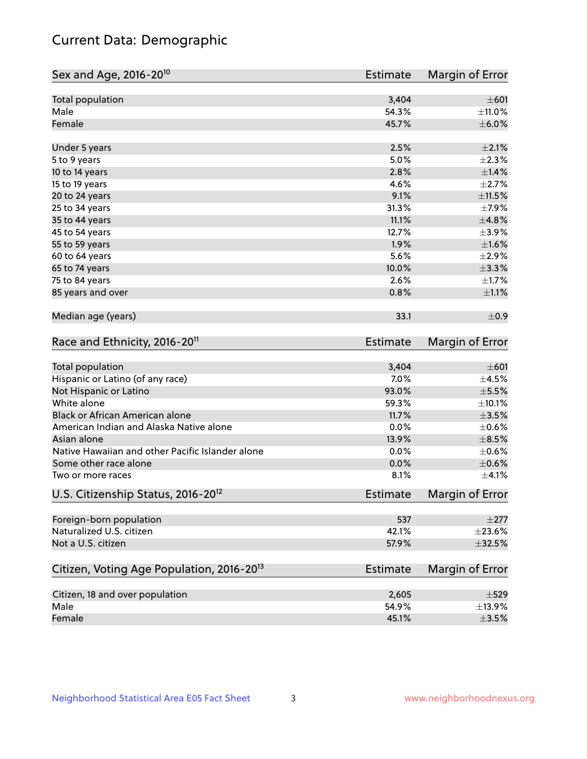## Current Data: Demographic

| Sex and Age, 2016-20 <sup>10</sup>                    | <b>Estimate</b> | Margin of Error |
|-------------------------------------------------------|-----------------|-----------------|
| Total population                                      | 3,404           | $\pm 601$       |
| Male                                                  | 54.3%           | ±11.0%          |
| Female                                                | 45.7%           | $\pm$ 6.0%      |
| Under 5 years                                         | 2.5%            | $\pm 2.1\%$     |
| 5 to 9 years                                          | 5.0%            | $\pm 2.3\%$     |
| 10 to 14 years                                        | 2.8%            | ±1.4%           |
| 15 to 19 years                                        | 4.6%            | $\pm 2.7\%$     |
| 20 to 24 years                                        | 9.1%            | $\pm 11.5\%$    |
| 25 to 34 years                                        | 31.3%           | $\pm$ 7.9%      |
| 35 to 44 years                                        | 11.1%           | ±4.8%           |
| 45 to 54 years                                        | 12.7%           | $\pm$ 3.9%      |
| 55 to 59 years                                        | 1.9%            | $\pm 1.6\%$     |
| 60 to 64 years                                        | 5.6%            | $\pm 2.9\%$     |
| 65 to 74 years                                        | 10.0%           | ±3.3%           |
| 75 to 84 years                                        | 2.6%            | $\pm$ 1.7%      |
| 85 years and over                                     | 0.8%            | $\pm 1.1\%$     |
| Median age (years)                                    | 33.1            | ±0.9            |
| Race and Ethnicity, 2016-20 <sup>11</sup>             | <b>Estimate</b> | Margin of Error |
| Total population                                      | 3,404           | $\pm 601$       |
| Hispanic or Latino (of any race)                      | 7.0%            | $\pm$ 4.5%      |
| Not Hispanic or Latino                                | 93.0%           | $\pm$ 5.5%      |
| White alone                                           | 59.3%           | ±10.1%          |
| Black or African American alone                       | 11.7%           | $\pm 3.5\%$     |
| American Indian and Alaska Native alone               | 0.0%            | $\pm$ 0.6%      |
| Asian alone                                           | 13.9%           | $\pm$ 8.5%      |
| Native Hawaiian and other Pacific Islander alone      | 0.0%            | $\pm$ 0.6%      |
| Some other race alone                                 | 0.0%            | $\pm$ 0.6%      |
| Two or more races                                     | 8.1%            | $\pm 4.1\%$     |
| U.S. Citizenship Status, 2016-20 <sup>12</sup>        | <b>Estimate</b> | Margin of Error |
| Foreign-born population                               | 537             | $\pm 277$       |
| Naturalized U.S. citizen                              | 42.1%           | $\pm 23.6\%$    |
| Not a U.S. citizen                                    | 57.9%           | $\pm$ 32.5%     |
| Citizen, Voting Age Population, 2016-20 <sup>13</sup> | Estimate        | Margin of Error |
| Citizen, 18 and over population                       | 2,605           | $\pm$ 529       |
| Male                                                  | 54.9%           | ±13.9%          |
| Female                                                | 45.1%           | $\pm 3.5\%$     |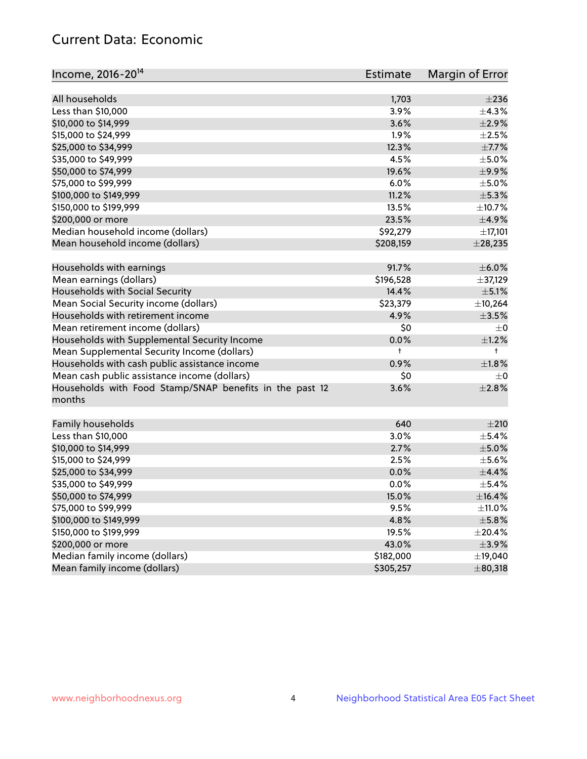## Current Data: Economic

| Income, 2016-20 <sup>14</sup>                           | <b>Estimate</b> | Margin of Error |
|---------------------------------------------------------|-----------------|-----------------|
| All households                                          | 1,703           | $\pm 236$       |
| Less than \$10,000                                      | 3.9%            | ±4.3%           |
| \$10,000 to \$14,999                                    | 3.6%            | $\pm 2.9\%$     |
|                                                         |                 |                 |
| \$15,000 to \$24,999                                    | 1.9%            | $\pm 2.5\%$     |
| \$25,000 to \$34,999                                    | 12.3%           | $\pm$ 7.7%      |
| \$35,000 to \$49,999                                    | 4.5%            | $\pm$ 5.0%      |
| \$50,000 to \$74,999                                    | 19.6%           | $\pm$ 9.9%      |
| \$75,000 to \$99,999                                    | 6.0%            | $\pm$ 5.0%      |
| \$100,000 to \$149,999                                  | 11.2%           | $\pm$ 5.3%      |
| \$150,000 to \$199,999                                  | 13.5%           | $\pm$ 10.7%     |
| \$200,000 or more                                       | 23.5%           | $\pm$ 4.9%      |
| Median household income (dollars)                       | \$92,279        | ±17,101         |
| Mean household income (dollars)                         | \$208,159       | $±$ 28,235      |
| Households with earnings                                | 91.7%           | $\pm$ 6.0%      |
| Mean earnings (dollars)                                 | \$196,528       | ±37,129         |
| Households with Social Security                         | 14.4%           | $\pm$ 5.1%      |
| Mean Social Security income (dollars)                   | \$23,379        | ±10,264         |
| Households with retirement income                       | 4.9%            | $\pm 3.5\%$     |
| Mean retirement income (dollars)                        | \$0             | $\pm$ 0         |
| Households with Supplemental Security Income            | 0.0%            | $\pm 1.2\%$     |
| Mean Supplemental Security Income (dollars)             | t               | $^+$            |
| Households with cash public assistance income           | 0.9%            | $\pm1.8\%$      |
| Mean cash public assistance income (dollars)            | \$0             | $\pm$ 0         |
| Households with Food Stamp/SNAP benefits in the past 12 | 3.6%            | $\pm 2.8\%$     |
| months                                                  |                 |                 |
| Family households                                       | 640             | $\pm 210$       |
| Less than \$10,000                                      | 3.0%            | $\pm$ 5.4%      |
| \$10,000 to \$14,999                                    | 2.7%            | $\pm$ 5.0%      |
|                                                         | 2.5%            | $\pm$ 5.6%      |
| \$15,000 to \$24,999                                    |                 | $\pm$ 4.4%      |
| \$25,000 to \$34,999                                    | 0.0%            |                 |
| \$35,000 to \$49,999                                    | 0.0%            | $\pm$ 5.4%      |
| \$50,000 to \$74,999                                    | 15.0%           | ±16.4%          |
| \$75,000 to \$99,999                                    | 9.5%            | ±11.0%          |
| \$100,000 to \$149,999                                  | 4.8%            | $\pm$ 5.8%      |
| \$150,000 to \$199,999                                  | 19.5%           | $\pm 20.4\%$    |
| \$200,000 or more                                       | 43.0%           | $\pm$ 3.9%      |
| Median family income (dollars)                          | \$182,000       | ±19,040         |
| Mean family income (dollars)                            | \$305,257       | ±80,318         |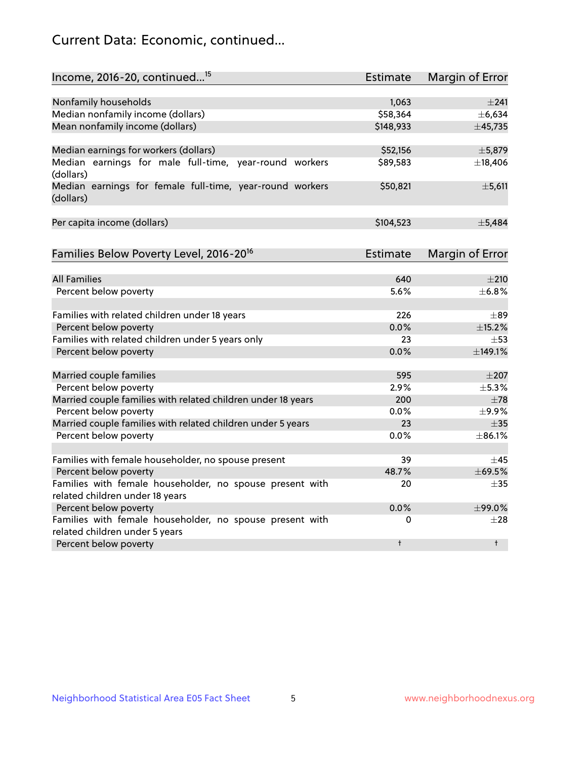## Current Data: Economic, continued...

| Income, 2016-20, continued <sup>15</sup>                              | <b>Estimate</b> | <b>Margin of Error</b> |
|-----------------------------------------------------------------------|-----------------|------------------------|
|                                                                       |                 |                        |
| Nonfamily households                                                  | 1,063           | $\pm 241$              |
| Median nonfamily income (dollars)                                     | \$58,364        | ±6,634                 |
| Mean nonfamily income (dollars)                                       | \$148,933       | ±45,735                |
| Median earnings for workers (dollars)                                 | \$52,156        | ±5,879                 |
| Median earnings for male full-time, year-round workers                | \$89,583        | ±18,406                |
| (dollars)                                                             |                 |                        |
| Median earnings for female full-time, year-round workers<br>(dollars) | \$50,821        | $\pm$ 5,611            |
| Per capita income (dollars)                                           | \$104,523       | ±5,484                 |
| Families Below Poverty Level, 2016-20 <sup>16</sup>                   | <b>Estimate</b> | <b>Margin of Error</b> |
|                                                                       |                 |                        |
| <b>All Families</b>                                                   | 640             | $\pm 210$              |
| Percent below poverty                                                 | 5.6%            | ±6.8%                  |
| Families with related children under 18 years                         | 226             | $\pm$ 89               |
| Percent below poverty                                                 | 0.0%            | ±15.2%                 |
| Families with related children under 5 years only                     | 23              | $\pm$ 53               |
| Percent below poverty                                                 | 0.0%            | ±149.1%                |
| Married couple families                                               | 595             | $\pm 207$              |
| Percent below poverty                                                 | 2.9%            | ±5.3%                  |
| Married couple families with related children under 18 years          | 200             | $\pm$ 78               |
| Percent below poverty                                                 | $0.0\%$         | $\pm$ 9.9%             |
| Married couple families with related children under 5 years           | 23              | $\pm$ 35               |
| Percent below poverty                                                 | $0.0\%$         | ±86.1%                 |
| Families with female householder, no spouse present                   | 39              | $\pm$ 45               |
| Percent below poverty                                                 | 48.7%           | ±69.5%                 |
| Families with female householder, no spouse present with              | 20              |                        |
| related children under 18 years                                       |                 | $\pm$ 35               |
| Percent below poverty                                                 | 0.0%            | ±99.0%                 |
| Families with female householder, no spouse present with              | 0               | $\pm 28$               |
| related children under 5 years                                        |                 |                        |
| Percent below poverty                                                 | $\ddagger$      | $\ddagger$             |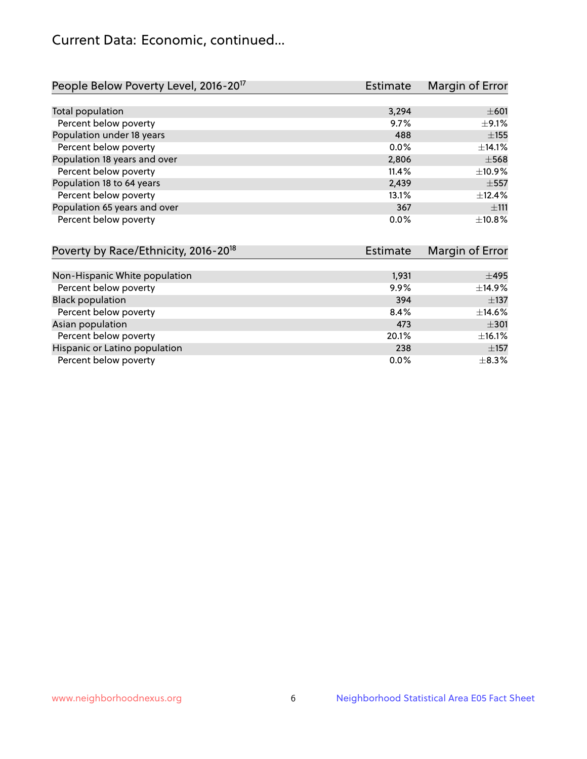## Current Data: Economic, continued...

| People Below Poverty Level, 2016-20 <sup>17</sup> | <b>Estimate</b> | Margin of Error |
|---------------------------------------------------|-----------------|-----------------|
|                                                   |                 |                 |
| Total population                                  | 3,294           | $\pm 601$       |
| Percent below poverty                             | 9.7%            | $\pm$ 9.1%      |
| Population under 18 years                         | 488             | $\pm$ 155       |
| Percent below poverty                             | $0.0\%$         | ±14.1%          |
| Population 18 years and over                      | 2,806           | $\pm$ 568       |
| Percent below poverty                             | 11.4%           | ±10.9%          |
| Population 18 to 64 years                         | 2,439           | $\pm$ 557       |
| Percent below poverty                             | 13.1%           | $+12.4%$        |
| Population 65 years and over                      | 367             | ±111            |
| Percent below poverty                             | 0.0%            | ±10.8%          |

| Poverty by Race/Ethnicity, 2016-20 <sup>18</sup> | <b>Estimate</b> | Margin of Error |
|--------------------------------------------------|-----------------|-----------------|
|                                                  |                 |                 |
| Non-Hispanic White population                    | 1,931           | $\pm 495$       |
| Percent below poverty                            | $9.9\%$         | ±14.9%          |
| <b>Black population</b>                          | 394             | $\pm$ 137       |
| Percent below poverty                            | 8.4%            | $\pm$ 14.6%     |
| Asian population                                 | 473             | $\pm$ 301       |
| Percent below poverty                            | 20.1%           | ±16.1%          |
| Hispanic or Latino population                    | 238             | $\pm$ 157       |
| Percent below poverty                            | $0.0\%$         | $\pm$ 8.3%      |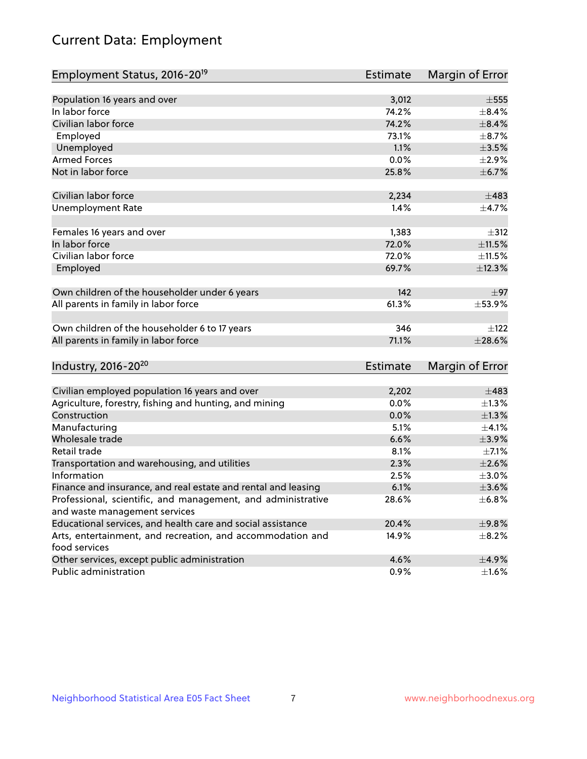# Current Data: Employment

| Employment Status, 2016-20 <sup>19</sup>                                                      | <b>Estimate</b> | Margin of Error |
|-----------------------------------------------------------------------------------------------|-----------------|-----------------|
|                                                                                               |                 |                 |
| Population 16 years and over                                                                  | 3,012           | $\pm 555$       |
| In labor force                                                                                | 74.2%           | $\pm$ 8.4%      |
| Civilian labor force                                                                          | 74.2%           | $\pm$ 8.4%      |
| Employed                                                                                      | 73.1%           | $\pm$ 8.7%      |
| Unemployed                                                                                    | 1.1%            | $\pm 3.5\%$     |
| <b>Armed Forces</b>                                                                           | 0.0%            | ±2.9%           |
| Not in labor force                                                                            | 25.8%           | ±6.7%           |
| Civilian labor force                                                                          | 2,234           | $\pm 483$       |
| <b>Unemployment Rate</b>                                                                      | 1.4%            | $\pm$ 4.7%      |
|                                                                                               |                 |                 |
| Females 16 years and over                                                                     | 1,383           | $\pm$ 312       |
| In labor force                                                                                | 72.0%           | $\pm 11.5\%$    |
| Civilian labor force                                                                          | 72.0%           | ±11.5%          |
| Employed                                                                                      | 69.7%           | ±12.3%          |
|                                                                                               | 142             | $\pm$ 97        |
| Own children of the householder under 6 years                                                 |                 |                 |
| All parents in family in labor force                                                          | 61.3%           | $\pm$ 53.9%     |
| Own children of the householder 6 to 17 years                                                 | 346             | $+122$          |
| All parents in family in labor force                                                          | 71.1%           | $\pm 28.6\%$    |
|                                                                                               |                 |                 |
| Industry, 2016-20 <sup>20</sup>                                                               | <b>Estimate</b> | Margin of Error |
| Civilian employed population 16 years and over                                                | 2,202           | ±483            |
| Agriculture, forestry, fishing and hunting, and mining                                        | 0.0%            | $\pm$ 1.3%      |
| Construction                                                                                  | 0.0%            | $\pm 1.3\%$     |
| Manufacturing                                                                                 | 5.1%            | $\pm 4.1\%$     |
| Wholesale trade                                                                               | 6.6%            | $\pm$ 3.9%      |
| Retail trade                                                                                  | 8.1%            | $\pm$ 7.1%      |
| Transportation and warehousing, and utilities                                                 | 2.3%            | $\pm 2.6\%$     |
| Information                                                                                   | 2.5%            | $\pm 3.0\%$     |
|                                                                                               | 6.1%            | $\pm 3.6\%$     |
| Finance and insurance, and real estate and rental and leasing                                 | 28.6%           | ±6.8%           |
| Professional, scientific, and management, and administrative<br>and waste management services |                 |                 |
| Educational services, and health care and social assistance                                   | 20.4%           | ±9.8%           |
|                                                                                               | 14.9%           |                 |
| Arts, entertainment, and recreation, and accommodation and<br>food services                   |                 | $\pm$ 8.2%      |
| Other services, except public administration                                                  | 4.6%            | $\pm$ 4.9%      |
| Public administration                                                                         | 0.9%            | $\pm 1.6\%$     |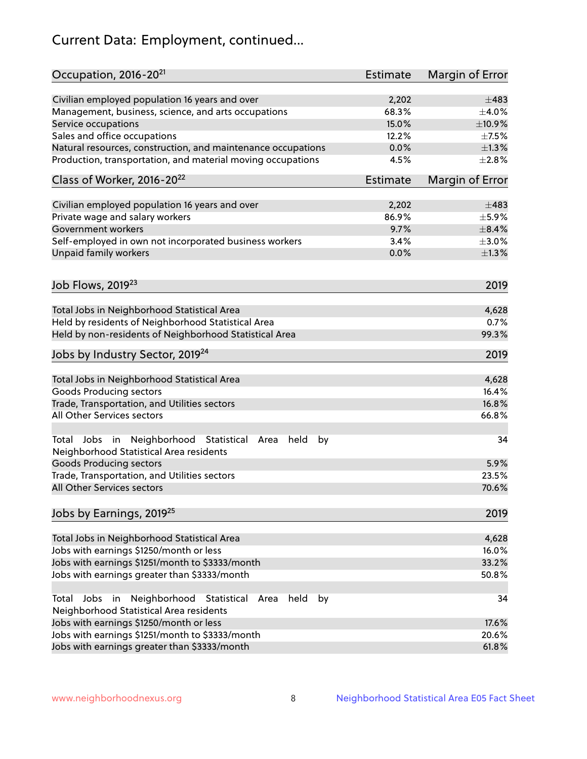# Current Data: Employment, continued...

| Occupation, 2016-20 <sup>21</sup>                                                                       | <b>Estimate</b> | Margin of Error |
|---------------------------------------------------------------------------------------------------------|-----------------|-----------------|
| Civilian employed population 16 years and over                                                          | 2,202           | $\pm 483$       |
| Management, business, science, and arts occupations                                                     | 68.3%           | $\pm 4.0\%$     |
| Service occupations                                                                                     | 15.0%           | ±10.9%          |
| Sales and office occupations                                                                            | 12.2%           | $\pm$ 7.5%      |
| Natural resources, construction, and maintenance occupations                                            | 0.0%            | $\pm 1.3\%$     |
| Production, transportation, and material moving occupations                                             | 4.5%            | $\pm 2.8\%$     |
| Class of Worker, 2016-20 <sup>22</sup>                                                                  | <b>Estimate</b> | Margin of Error |
| Civilian employed population 16 years and over                                                          | 2,202           | $\pm 483$       |
| Private wage and salary workers                                                                         | 86.9%           | $\pm$ 5.9%      |
| Government workers                                                                                      | 9.7%            | $\pm$ 8.4%      |
| Self-employed in own not incorporated business workers                                                  | 3.4%            | $\pm 3.0\%$     |
| Unpaid family workers                                                                                   | 0.0%            | $\pm 1.3\%$     |
|                                                                                                         |                 | 2019            |
| Job Flows, 2019 <sup>23</sup>                                                                           |                 |                 |
| Total Jobs in Neighborhood Statistical Area                                                             |                 | 4,628           |
| Held by residents of Neighborhood Statistical Area                                                      |                 | 0.7%            |
| Held by non-residents of Neighborhood Statistical Area                                                  |                 | 99.3%           |
| Jobs by Industry Sector, 2019 <sup>24</sup>                                                             |                 | 2019            |
| Total Jobs in Neighborhood Statistical Area                                                             |                 | 4,628           |
| <b>Goods Producing sectors</b>                                                                          |                 | 16.4%           |
| Trade, Transportation, and Utilities sectors                                                            |                 | 16.8%           |
| All Other Services sectors                                                                              |                 | 66.8%           |
| Total Jobs in Neighborhood Statistical<br>held<br>by<br>Area<br>Neighborhood Statistical Area residents |                 | 34              |
| <b>Goods Producing sectors</b>                                                                          |                 | 5.9%            |
| Trade, Transportation, and Utilities sectors                                                            |                 | 23.5%           |
| All Other Services sectors                                                                              |                 | 70.6%           |
| Jobs by Earnings, 2019 <sup>25</sup>                                                                    |                 | 2019            |
| Total Jobs in Neighborhood Statistical Area                                                             |                 | 4,628           |
| Jobs with earnings \$1250/month or less                                                                 |                 | 16.0%           |
| Jobs with earnings \$1251/month to \$3333/month                                                         |                 | 33.2%           |
| Jobs with earnings greater than \$3333/month                                                            |                 | 50.8%           |
| Neighborhood Statistical<br>Jobs<br>in<br>held<br>by<br>Total<br>Area                                   |                 | 34              |
| Neighborhood Statistical Area residents                                                                 |                 |                 |
| Jobs with earnings \$1250/month or less                                                                 |                 | 17.6%           |
| Jobs with earnings \$1251/month to \$3333/month                                                         |                 | 20.6%           |
| Jobs with earnings greater than \$3333/month                                                            |                 | 61.8%           |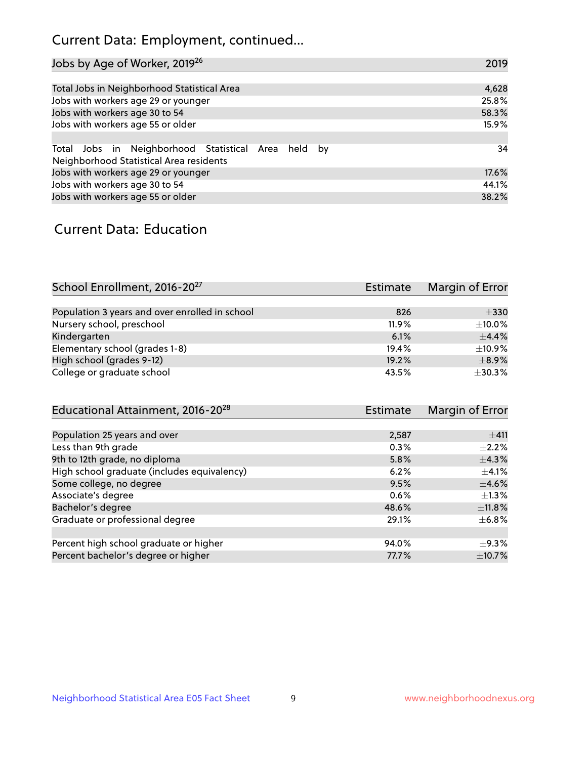## Current Data: Employment, continued...

| Jobs by Age of Worker, 2019 <sup>26</sup>                                                      | 2019  |
|------------------------------------------------------------------------------------------------|-------|
|                                                                                                |       |
| Total Jobs in Neighborhood Statistical Area                                                    | 4,628 |
| Jobs with workers age 29 or younger                                                            | 25.8% |
| Jobs with workers age 30 to 54                                                                 | 58.3% |
| Jobs with workers age 55 or older                                                              | 15.9% |
|                                                                                                |       |
| Total Jobs in Neighborhood Statistical Area held by<br>Neighborhood Statistical Area residents | 34    |
| Jobs with workers age 29 or younger                                                            | 17.6% |
| Jobs with workers age 30 to 54                                                                 | 44.1% |
| Jobs with workers age 55 or older                                                              | 38.2% |

### Current Data: Education

| School Enrollment, 2016-20 <sup>27</sup>       | <b>Estimate</b> | Margin of Error |
|------------------------------------------------|-----------------|-----------------|
|                                                |                 |                 |
| Population 3 years and over enrolled in school | 826             | $\pm$ 330       |
| Nursery school, preschool                      | $11.9\%$        | $\pm$ 10.0%     |
| Kindergarten                                   | 6.1%            | $\pm$ 4.4%      |
| Elementary school (grades 1-8)                 | 19.4%           | $\pm$ 10.9%     |
| High school (grades 9-12)                      | 19.2%           | $\pm$ 8.9%      |
| College or graduate school                     | 43.5%           | ±30.3%          |

| Educational Attainment, 2016-20 <sup>28</sup> | <b>Estimate</b> | Margin of Error |
|-----------------------------------------------|-----------------|-----------------|
|                                               |                 |                 |
| Population 25 years and over                  | 2,587           | ±411            |
| Less than 9th grade                           | 0.3%            | $\pm 2.2\%$     |
| 9th to 12th grade, no diploma                 | 5.8%            | $\pm$ 4.3%      |
| High school graduate (includes equivalency)   | 6.2%            | $\pm$ 4.1%      |
| Some college, no degree                       | 9.5%            | $\pm$ 4.6%      |
| Associate's degree                            | 0.6%            | $\pm 1.3\%$     |
| Bachelor's degree                             | 48.6%           | ±11.8%          |
| Graduate or professional degree               | 29.1%           | $\pm$ 6.8%      |
|                                               |                 |                 |
| Percent high school graduate or higher        | 94.0%           | $\pm$ 9.3%      |
| Percent bachelor's degree or higher           | 77.7%           | $\pm$ 10.7%     |
|                                               |                 |                 |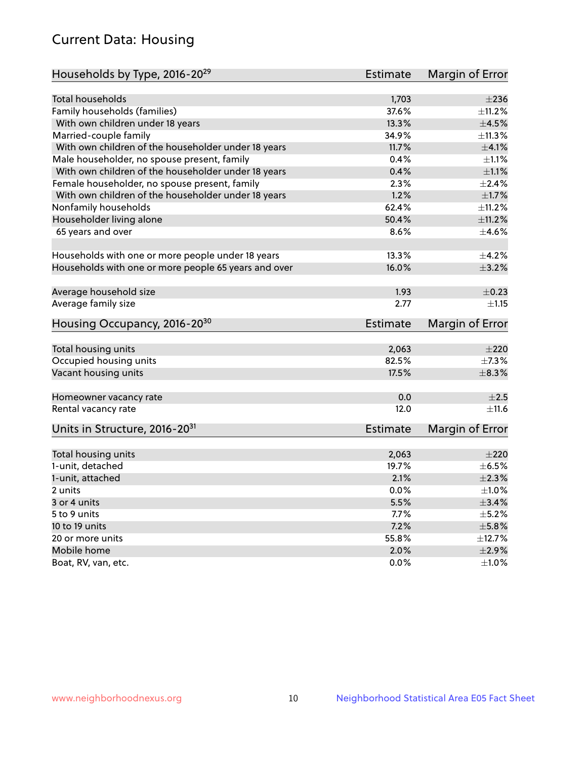## Current Data: Housing

| Households by Type, 2016-20 <sup>29</sup>            | <b>Estimate</b> | Margin of Error |
|------------------------------------------------------|-----------------|-----------------|
|                                                      |                 |                 |
| Total households                                     | 1,703           | $\pm 236$       |
| Family households (families)                         | 37.6%           | $+11.2%$        |
| With own children under 18 years                     | 13.3%           | $\pm 4.5\%$     |
| Married-couple family                                | 34.9%           | ±11.3%          |
| With own children of the householder under 18 years  | 11.7%           | $\pm 4.1\%$     |
| Male householder, no spouse present, family          | 0.4%            | $\pm 1.1\%$     |
| With own children of the householder under 18 years  | 0.4%            | $\pm 1.1\%$     |
| Female householder, no spouse present, family        | 2.3%            | $\pm 2.4\%$     |
| With own children of the householder under 18 years  | 1.2%            | $\pm1.7\%$      |
| Nonfamily households                                 | 62.4%           | ±11.2%          |
| Householder living alone                             | 50.4%           | ±11.2%          |
| 65 years and over                                    | 8.6%            | $\pm$ 4.6%      |
|                                                      |                 |                 |
| Households with one or more people under 18 years    | 13.3%           | $\pm$ 4.2%      |
| Households with one or more people 65 years and over | 16.0%           | $\pm$ 3.2%      |
|                                                      |                 |                 |
| Average household size                               | 1.93            | $\pm$ 0.23      |
| Average family size                                  | 2.77            | $\pm 1.15$      |
| Housing Occupancy, 2016-20 <sup>30</sup>             | <b>Estimate</b> | Margin of Error |
|                                                      |                 |                 |
| Total housing units                                  | 2,063           | $\pm 220$       |
| Occupied housing units                               | 82.5%           | $\pm$ 7.3%      |
| Vacant housing units                                 | 17.5%           | $\pm$ 8.3%      |
| Homeowner vacancy rate                               | 0.0             | $\pm 2.5$       |
| Rental vacancy rate                                  | 12.0            | ±11.6           |
| Units in Structure, 2016-20 <sup>31</sup>            | Estimate        | Margin of Error |
|                                                      |                 |                 |
| Total housing units                                  | 2,063           | $\pm 220$       |
| 1-unit, detached                                     | 19.7%           | $\pm$ 6.5%      |
| 1-unit, attached                                     | 2.1%            | $\pm 2.3\%$     |
| 2 units                                              | 0.0%            | $\pm 1.0\%$     |
| 3 or 4 units                                         | 5.5%            | $\pm$ 3.4%      |
| 5 to 9 units                                         | 7.7%            | $\pm$ 5.2%      |
| 10 to 19 units                                       | 7.2%            | ±5.8%           |
| 20 or more units                                     | 55.8%           | ±12.7%          |
| Mobile home                                          | 2.0%            | $\pm 2.9\%$     |
| Boat, RV, van, etc.                                  | $0.0\%$         | $\pm 1.0\%$     |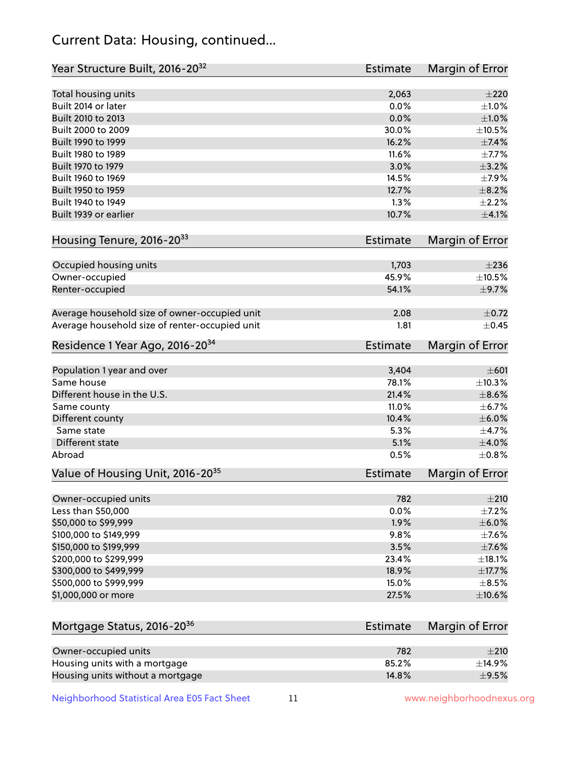## Current Data: Housing, continued...

| Year Structure Built, 2016-20 <sup>32</sup>           | Estimate        | <b>Margin of Error</b> |
|-------------------------------------------------------|-----------------|------------------------|
| Total housing units                                   | 2,063           | $\pm 220$              |
| Built 2014 or later                                   | 0.0%            | $\pm 1.0\%$            |
| Built 2010 to 2013                                    | 0.0%            | $\pm 1.0\%$            |
| Built 2000 to 2009                                    | 30.0%           | $\pm 10.5\%$           |
| Built 1990 to 1999                                    | 16.2%           | ±7.4%                  |
| Built 1980 to 1989                                    | 11.6%           | $\pm$ 7.7%             |
| Built 1970 to 1979                                    | 3.0%            | $\pm$ 3.2%             |
| Built 1960 to 1969                                    | 14.5%           | $\pm$ 7.9%             |
| Built 1950 to 1959                                    | 12.7%           | $\pm$ 8.2%             |
| Built 1940 to 1949                                    | 1.3%            | ±2.2%                  |
| Built 1939 or earlier                                 | 10.7%           | $\pm$ 4.1%             |
| Housing Tenure, 2016-2033                             | Estimate        | Margin of Error        |
| Occupied housing units                                | 1,703           | $\pm 236$              |
| Owner-occupied                                        | 45.9%           | ±10.5%                 |
| Renter-occupied                                       | 54.1%           | $\pm$ 9.7%             |
| Average household size of owner-occupied unit         | 2.08            | $\pm$ 0.72             |
| Average household size of renter-occupied unit        | 1.81            | $\pm$ 0.45             |
| Residence 1 Year Ago, 2016-20 <sup>34</sup>           | <b>Estimate</b> | <b>Margin of Error</b> |
| Population 1 year and over                            | 3,404           | $\pm 601$              |
| Same house                                            | 78.1%           | ±10.3%                 |
| Different house in the U.S.                           | 21.4%           | $\pm$ 8.6%             |
| Same county                                           | 11.0%           | ±6.7%                  |
| Different county                                      | 10.4%           | $\pm$ 6.0%             |
| Same state                                            | 5.3%            | $\pm$ 4.7%             |
| Different state                                       | 5.1%            | $\pm$ 4.0%             |
| Abroad                                                | 0.5%            | $\pm$ 0.8%             |
| Value of Housing Unit, 2016-20 <sup>35</sup>          | <b>Estimate</b> | Margin of Error        |
| Owner-occupied units                                  | 782             | ±210                   |
| Less than \$50,000                                    | 0.0%            | $\pm$ 7.2%             |
| \$50,000 to \$99,999                                  | 1.9%            | ±6.0%                  |
| \$100,000 to \$149,999                                | 9.8%            | $\pm$ 7.6%             |
| \$150,000 to \$199,999                                | 3.5%            | $\pm$ 7.6%             |
| \$200,000 to \$299,999                                | 23.4%           | ±18.1%                 |
| \$300,000 to \$499,999                                | 18.9%           | $\pm$ 17.7%            |
| \$500,000 to \$999,999                                | 15.0%           | $\pm$ 8.5%             |
| \$1,000,000 or more                                   | 27.5%           | $\pm$ 10.6%            |
| Mortgage Status, 2016-20 <sup>36</sup>                | <b>Estimate</b> | Margin of Error        |
|                                                       |                 |                        |
| Owner-occupied units<br>Housing units with a mortgage | 782<br>85.2%    | $\pm 210$<br>±14.9%    |
|                                                       |                 |                        |

Neighborhood Statistical Area E05 Fact Sheet 11 1 www.neighborhoodnexus.org

Housing units without a mortgage  $\pm 9.5\%$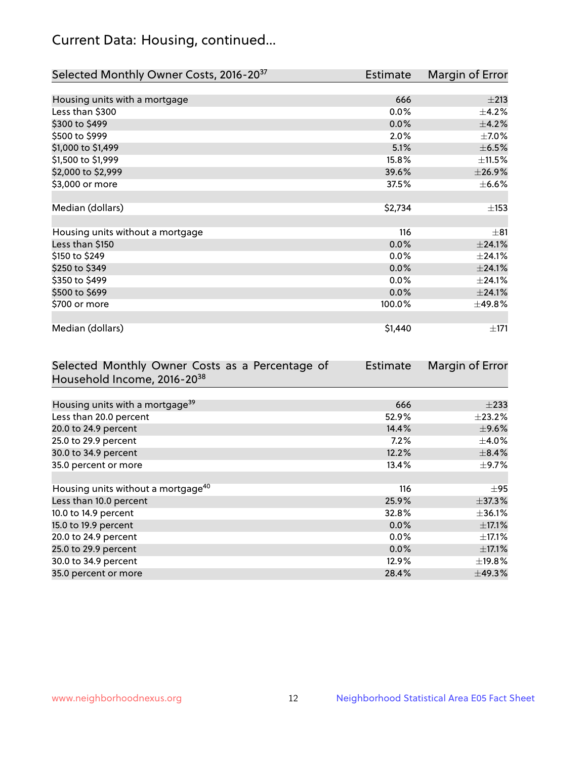## Current Data: Housing, continued...

| Selected Monthly Owner Costs, 2016-20 <sup>37</sup> | <b>Estimate</b> | Margin of Error |
|-----------------------------------------------------|-----------------|-----------------|
|                                                     |                 |                 |
| Housing units with a mortgage                       | 666             | $\pm 213$       |
| Less than \$300                                     | 0.0%            | $\pm$ 4.2%      |
| \$300 to \$499                                      | 0.0%            | $\pm$ 4.2%      |
| \$500 to \$999                                      | 2.0%            | $\pm$ 7.0%      |
| \$1,000 to \$1,499                                  | 5.1%            | $\pm$ 6.5%      |
| \$1,500 to \$1,999                                  | 15.8%           | ±11.5%          |
| \$2,000 to \$2,999                                  | 39.6%           | ±26.9%          |
| \$3,000 or more                                     | 37.5%           | $\pm$ 6.6%      |
|                                                     |                 |                 |
| Median (dollars)                                    | \$2,734         | $\pm$ 153       |
|                                                     |                 |                 |
| Housing units without a mortgage                    | 116             | $\pm$ 81        |
| Less than \$150                                     | 0.0%            | $\pm$ 24.1%     |
| \$150 to \$249                                      | 0.0%            | ±24.1%          |
| \$250 to \$349                                      | 0.0%            | $\pm$ 24.1%     |
| \$350 to \$499                                      | $0.0\%$         | ±24.1%          |
| \$500 to \$699                                      | 0.0%            | $\pm$ 24.1%     |
| \$700 or more                                       | 100.0%          | ±49.8%          |
|                                                     |                 |                 |
| Median (dollars)                                    | \$1,440         | ±171            |

| Selected Monthly Owner Costs as a Percentage of | <b>Estimate</b> | Margin of Error |
|-------------------------------------------------|-----------------|-----------------|
| Household Income, 2016-2038                     |                 |                 |
|                                                 |                 |                 |
| Housing units with a mortgage <sup>39</sup>     | 666             | $\pm 233$       |
| Less than 20.0 percent                          | 52.9%           | $\pm 23.2\%$    |
| 20.0 to 24.9 percent                            | 14.4%           | $\pm$ 9.6%      |
| 25.0 to 29.9 percent                            | $7.2\%$         | $\pm$ 4.0%      |
| 30.0 to 34.9 percent                            | 12.2%           | $\pm$ 8.4%      |
| 35.0 percent or more                            | 13.4%           | $\pm$ 9.7%      |
|                                                 |                 |                 |
| Housing units without a mortgage <sup>40</sup>  | 116             | $\pm$ 95        |
| Less than 10.0 percent                          | 25.9%           | $\pm$ 37.3%     |
| 10.0 to 14.9 percent                            | 32.8%           | $\pm$ 36.1%     |
| 15.0 to 19.9 percent                            | 0.0%            | $\pm$ 17.1%     |
| 20.0 to 24.9 percent                            | $0.0\%$         | $\pm$ 17.1%     |
| 25.0 to 29.9 percent                            | 0.0%            | $\pm$ 17.1%     |
| 30.0 to 34.9 percent                            | 12.9%           | $\pm$ 19.8%     |
| 35.0 percent or more                            | 28.4%           | $\pm$ 49.3%     |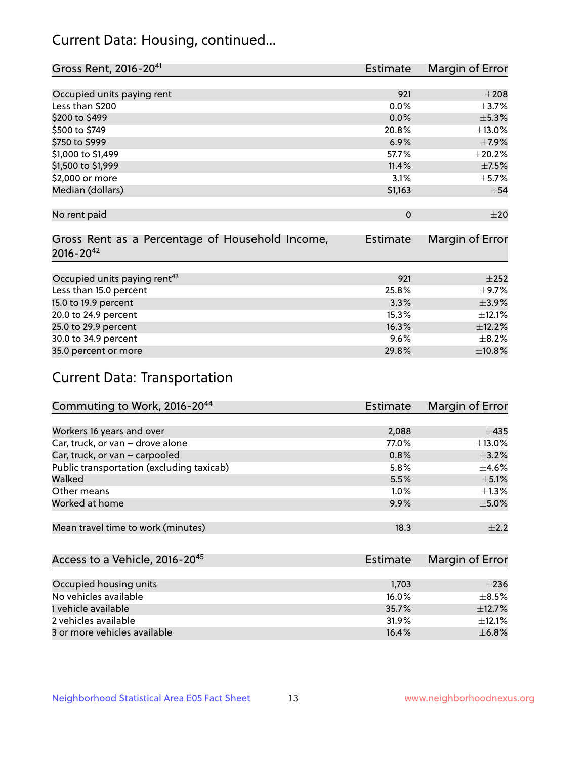## Current Data: Housing, continued...

| Gross Rent, 2016-20 <sup>41</sup>               | <b>Estimate</b> | Margin of Error |
|-------------------------------------------------|-----------------|-----------------|
|                                                 |                 |                 |
| Occupied units paying rent                      | 921             | $\pm 208$       |
| Less than \$200                                 | 0.0%            | $\pm$ 3.7%      |
| \$200 to \$499                                  | 0.0%            | $\pm$ 5.3%      |
| \$500 to \$749                                  | 20.8%           | $\pm$ 13.0%     |
| \$750 to \$999                                  | 6.9%            | $\pm$ 7.9%      |
| \$1,000 to \$1,499                              | 57.7%           | ±20.2%          |
| \$1,500 to \$1,999                              | 11.4%           | $\pm$ 7.5%      |
| \$2,000 or more                                 | 3.1%            | $\pm$ 5.7%      |
| Median (dollars)                                | \$1,163         | $\pm$ 54        |
|                                                 |                 |                 |
| No rent paid                                    | $\mathbf 0$     | $\pm 20$        |
|                                                 |                 |                 |
| Gross Rent as a Percentage of Household Income, | <b>Estimate</b> | Margin of Error |
| $2016 - 20^{42}$                                |                 |                 |
|                                                 |                 |                 |
| Occupied units paying rent <sup>43</sup>        | 921             | $+252$          |
| Less than 15.0 percent                          | 25.8%           | $\pm$ 9.7%      |
| 15.0 to 19.9 percent                            | 3.3%            | $\pm$ 3.9%      |
| 20.0 to 24.9 percent                            | 15.3%           | ±12.1%          |
| 25.0 to 29.9 percent                            | 16.3%           | ±12.2%          |
| 30.0 to 34.9 percent                            | 9.6%            | $\pm$ 8.2%      |
| 35.0 percent or more                            | 29.8%           | ±10.8%          |

# Current Data: Transportation

| Commuting to Work, 2016-20 <sup>44</sup>  | Estimate | Margin of Error |
|-------------------------------------------|----------|-----------------|
|                                           |          |                 |
| Workers 16 years and over                 | 2,088    | $\pm 435$       |
| Car, truck, or van - drove alone          | 77.0%    | $\pm$ 13.0%     |
| Car, truck, or van - carpooled            | 0.8%     | $\pm$ 3.2%      |
| Public transportation (excluding taxicab) | 5.8%     | $\pm$ 4.6%      |
| Walked                                    | 5.5%     | $\pm$ 5.1%      |
| Other means                               | $1.0\%$  | $\pm 1.3\%$     |
| Worked at home                            | 9.9%     | $\pm$ 5.0%      |
|                                           |          |                 |
| Mean travel time to work (minutes)        | 18.3     | $+2.2$          |

| Access to a Vehicle, 2016-20 <sup>45</sup> | Estimate | Margin of Error |
|--------------------------------------------|----------|-----------------|
|                                            |          |                 |
| Occupied housing units                     | 1,703    | $\pm 236$       |
| No vehicles available                      | 16.0%    | $+8.5%$         |
| 1 vehicle available                        | 35.7%    | $\pm$ 12.7%     |
| 2 vehicles available                       | 31.9%    | ±12.1%          |
| 3 or more vehicles available               | 16.4%    | $\pm$ 6.8%      |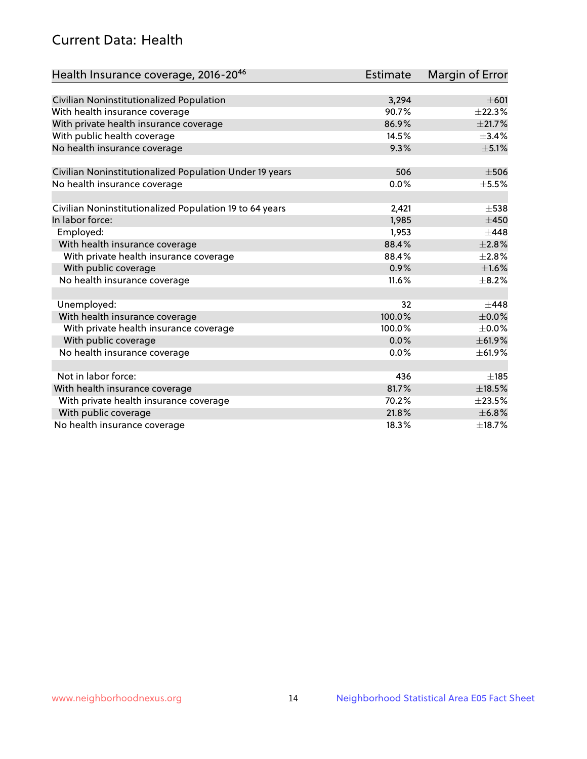## Current Data: Health

| Health Insurance coverage, 2016-2046                    | <b>Estimate</b> | Margin of Error |
|---------------------------------------------------------|-----------------|-----------------|
|                                                         |                 |                 |
| Civilian Noninstitutionalized Population                | 3,294           | $\pm 601$       |
| With health insurance coverage                          | 90.7%           | ±22.3%          |
| With private health insurance coverage                  | 86.9%           | ±21.7%          |
| With public health coverage                             | 14.5%           | $\pm$ 3.4%      |
| No health insurance coverage                            | 9.3%            | $\pm$ 5.1%      |
| Civilian Noninstitutionalized Population Under 19 years | 506             | $\pm$ 506       |
| No health insurance coverage                            | 0.0%            | $\pm$ 5.5%      |
|                                                         |                 |                 |
| Civilian Noninstitutionalized Population 19 to 64 years | 2,421           | $\pm$ 538       |
| In labor force:                                         | 1,985           | $\pm 450$       |
| Employed:                                               | 1,953           | $\pm$ 448       |
| With health insurance coverage                          | 88.4%           | $\pm 2.8\%$     |
| With private health insurance coverage                  | 88.4%           | $\pm 2.8\%$     |
| With public coverage                                    | 0.9%            | $\pm1.6\%$      |
| No health insurance coverage                            | 11.6%           | $\pm$ 8.2%      |
|                                                         |                 |                 |
| Unemployed:                                             | 32              | $+448$          |
| With health insurance coverage                          | 100.0%          | $\pm$ 0.0%      |
| With private health insurance coverage                  | 100.0%          | $\pm$ 0.0%      |
| With public coverage                                    | 0.0%            | ±61.9%          |
| No health insurance coverage                            | 0.0%            | ±61.9%          |
|                                                         |                 |                 |
| Not in labor force:                                     | 436             | ±185            |
| With health insurance coverage                          | 81.7%           | $\pm$ 18.5%     |
| With private health insurance coverage                  | 70.2%           | $\pm 23.5\%$    |
| With public coverage                                    | 21.8%           | $\pm$ 6.8%      |
| No health insurance coverage                            | 18.3%           | ±18.7%          |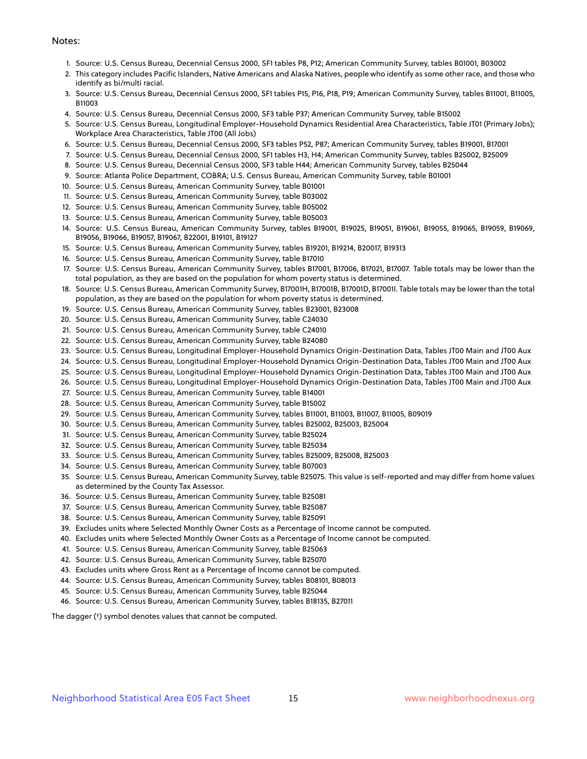#### Notes:

- 1. Source: U.S. Census Bureau, Decennial Census 2000, SF1 tables P8, P12; American Community Survey, tables B01001, B03002
- 2. This category includes Pacific Islanders, Native Americans and Alaska Natives, people who identify as some other race, and those who identify as bi/multi racial.
- 3. Source: U.S. Census Bureau, Decennial Census 2000, SF1 tables P15, P16, P18, P19; American Community Survey, tables B11001, B11005, B11003
- 4. Source: U.S. Census Bureau, Decennial Census 2000, SF3 table P37; American Community Survey, table B15002
- 5. Source: U.S. Census Bureau, Longitudinal Employer-Household Dynamics Residential Area Characteristics, Table JT01 (Primary Jobs); Workplace Area Characteristics, Table JT00 (All Jobs)
- 6. Source: U.S. Census Bureau, Decennial Census 2000, SF3 tables P52, P87; American Community Survey, tables B19001, B17001
- 7. Source: U.S. Census Bureau, Decennial Census 2000, SF1 tables H3, H4; American Community Survey, tables B25002, B25009
- 8. Source: U.S. Census Bureau, Decennial Census 2000, SF3 table H44; American Community Survey, tables B25044
- 9. Source: Atlanta Police Department, COBRA; U.S. Census Bureau, American Community Survey, table B01001
- 10. Source: U.S. Census Bureau, American Community Survey, table B01001
- 11. Source: U.S. Census Bureau, American Community Survey, table B03002
- 12. Source: U.S. Census Bureau, American Community Survey, table B05002
- 13. Source: U.S. Census Bureau, American Community Survey, table B05003
- 14. Source: U.S. Census Bureau, American Community Survey, tables B19001, B19025, B19051, B19061, B19055, B19065, B19059, B19069, B19056, B19066, B19057, B19067, B22001, B19101, B19127
- 15. Source: U.S. Census Bureau, American Community Survey, tables B19201, B19214, B20017, B19313
- 16. Source: U.S. Census Bureau, American Community Survey, table B17010
- 17. Source: U.S. Census Bureau, American Community Survey, tables B17001, B17006, B17021, B17007. Table totals may be lower than the total population, as they are based on the population for whom poverty status is determined.
- 18. Source: U.S. Census Bureau, American Community Survey, B17001H, B17001B, B17001D, B17001I. Table totals may be lower than the total population, as they are based on the population for whom poverty status is determined.
- 19. Source: U.S. Census Bureau, American Community Survey, tables B23001, B23008
- 20. Source: U.S. Census Bureau, American Community Survey, table C24030
- 21. Source: U.S. Census Bureau, American Community Survey, table C24010
- 22. Source: U.S. Census Bureau, American Community Survey, table B24080
- 23. Source: U.S. Census Bureau, Longitudinal Employer-Household Dynamics Origin-Destination Data, Tables JT00 Main and JT00 Aux
- 24. Source: U.S. Census Bureau, Longitudinal Employer-Household Dynamics Origin-Destination Data, Tables JT00 Main and JT00 Aux
- 25. Source: U.S. Census Bureau, Longitudinal Employer-Household Dynamics Origin-Destination Data, Tables JT00 Main and JT00 Aux
- 26. Source: U.S. Census Bureau, Longitudinal Employer-Household Dynamics Origin-Destination Data, Tables JT00 Main and JT00 Aux
- 27. Source: U.S. Census Bureau, American Community Survey, table B14001
- 28. Source: U.S. Census Bureau, American Community Survey, table B15002
- 29. Source: U.S. Census Bureau, American Community Survey, tables B11001, B11003, B11007, B11005, B09019
- 30. Source: U.S. Census Bureau, American Community Survey, tables B25002, B25003, B25004
- 31. Source: U.S. Census Bureau, American Community Survey, table B25024
- 32. Source: U.S. Census Bureau, American Community Survey, table B25034
- 33. Source: U.S. Census Bureau, American Community Survey, tables B25009, B25008, B25003
- 34. Source: U.S. Census Bureau, American Community Survey, table B07003
- 35. Source: U.S. Census Bureau, American Community Survey, table B25075. This value is self-reported and may differ from home values as determined by the County Tax Assessor.
- 36. Source: U.S. Census Bureau, American Community Survey, table B25081
- 37. Source: U.S. Census Bureau, American Community Survey, table B25087
- 38. Source: U.S. Census Bureau, American Community Survey, table B25091
- 39. Excludes units where Selected Monthly Owner Costs as a Percentage of Income cannot be computed.
- 40. Excludes units where Selected Monthly Owner Costs as a Percentage of Income cannot be computed.
- 41. Source: U.S. Census Bureau, American Community Survey, table B25063
- 42. Source: U.S. Census Bureau, American Community Survey, table B25070
- 43. Excludes units where Gross Rent as a Percentage of Income cannot be computed.
- 44. Source: U.S. Census Bureau, American Community Survey, tables B08101, B08013
- 45. Source: U.S. Census Bureau, American Community Survey, table B25044
- 46. Source: U.S. Census Bureau, American Community Survey, tables B18135, B27011

The dagger (†) symbol denotes values that cannot be computed.